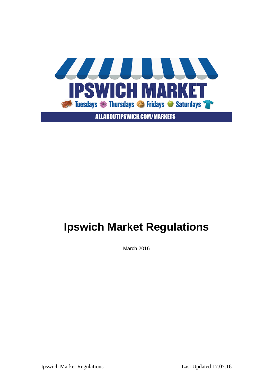

**ALLABOUTIPSWICH.COM/MARKETS** 

# **Ipswich Market Regulations**

March 2016

Ipswich Market Regulations Last Updated 17.07.16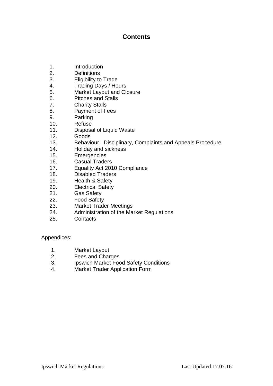### **Contents**

- 1. Introduction
- 2. Definitions
- 3. Eligibility to Trade
- 4. Trading Days / Hours
- 5. Market Layout and Closure
- 6. Pitches and Stalls
- 7. Charity Stalls
- 8. Payment of Fees
- 9. Parking
- 10. Refuse
- 11. Disposal of Liquid Waste
- 12. Goods
- 13. Behaviour, Disciplinary, Complaints and Appeals Procedure
- 14. Holiday and sickness
- 15. Emergencies
- 16. Casual Traders
- 17. Equality Act 2010 Compliance
- 18. Disabled Traders
- 19. Health & Safety
- 20. Electrical Safety
- 21. Gas Safety
- 22. Food Safety
- 23. Market Trader Meetings
- 24. Administration of the Market Regulations
- 25. Contacts

Appendices:

- 1. Market Layout
- 2. Fees and Charges
- 3. Ipswich Market Food Safety Conditions
- 4. Market Trader Application Form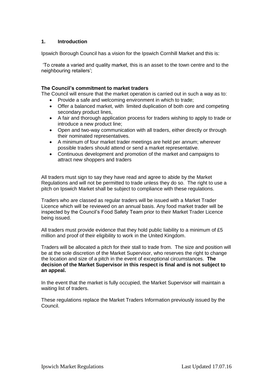#### **1. Introduction**

Ipswich Borough Council has a vision for the Ipswich Cornhill Market and this is:

'To create a varied and quality market, this is an asset to the town centre and to the neighbouring retailers';

#### **The Council's commitment to market traders**

The Council will ensure that the market operation is carried out in such a way as to:

- Provide a safe and welcoming environment in which to trade;
- Offer a balanced market, with limited duplication of both core and competing secondary product lines,
- A fair and thorough application process for traders wishing to apply to trade or introduce a new product line;
- Open and two-way communication with all traders, either directly or through their nominated representatives.
- A minimum of four market trader meetings are held per annum; wherever possible traders should attend or send a market representative.
- Continuous development and promotion of the market and campaigns to attract new shoppers and traders

All traders must sign to say they have read and agree to abide by the Market Regulations and will not be permitted to trade unless they do so. The right to use a pitch on Ipswich Market shall be subject to compliance with these regulations.

Traders who are classed as regular traders will be issued with a Market Trader Licence which will be reviewed on an annual basis. Any food market trader will be inspected by the Council's Food Safety Team prior to their Market Trader Licence being issued.

All traders must provide evidence that they hold public liability to a minimum of £5 million and proof of their eligibility to work in the United Kingdom.

Traders will be allocated a pitch for their stall to trade from. The size and position will be at the sole discretion of the Market Supervisor, who reserves the right to change the location and size of a pitch in the event of exceptional circumstances. **The decision of the Market Supervisor in this respect is final and is not subject to an appeal.** 

In the event that the market is fully occupied, the Market Supervisor will maintain a waiting list of traders.

These regulations replace the Market Traders Information previously issued by the Council.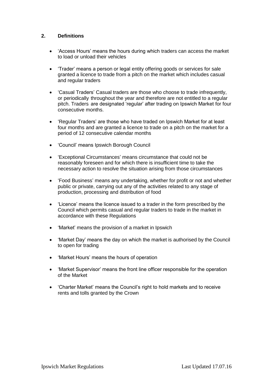#### **2. Definitions**

- 'Access Hours' means the hours during which traders can access the market to load or unload their vehicles
- 'Trader' means a person or legal entity offering goods or services for sale granted a licence to trade from a pitch on the market which includes casual and regular traders
- 'Casual Traders' Casual traders are those who choose to trade infrequently, or periodically throughout the year and therefore are not entitled to a regular pitch. Traders are designated 'regular' after trading on Ipswich Market for four consecutive months.
- 'Regular Traders' are those who have traded on Ipswich Market for at least four months and are granted a licence to trade on a pitch on the market for a period of 12 consecutive calendar months
- 'Council' means Ipswich Borough Council
- 'Exceptional Circumstances' means circumstance that could not be reasonably foreseen and for which there is insufficient time to take the necessary action to resolve the situation arising from those circumstances
- 'Food Business' means any undertaking, whether for profit or not and whether public or private, carrying out any of the activities related to any stage of production, processing and distribution of food
- 'Licence' means the licence issued to a trader in the form prescribed by the Council which permits casual and regular traders to trade in the market in accordance with these Regulations
- 'Market' means the provision of a market in Ipswich
- 'Market Day' means the day on which the market is authorised by the Council to open for trading
- 'Market Hours' means the hours of operation
- 'Market Supervisor' means the front line officer responsible for the operation of the Market
- 'Charter Market' means the Council's right to hold markets and to receive rents and tolls granted by the Crown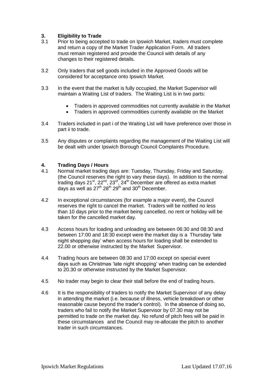#### **3. Eligibility to Trade**

- 3.1 Prior to being accepted to trade on Ipswich Market, traders must complete and return a copy of the Market Trader Application Form. All traders must remain registered and provide the Council with details of any changes to their registered details.
- 3.2 Only traders that sell goods included in the Approved Goods will be considered for acceptance onto Ipswich Market.
- 3.3 In the event that the market is fully occupied, the Market Supervisor will maintain a Waiting List of traders. The Waiting List is in two parts:
	- Traders in approved commodities not currently available in the Market
	- Traders in approved commodities currently available on the Market
- 3.4 Traders included in part i of the Waiting List will have preference over those in part ii to trade.
- 3.5 Any disputes or complaints regarding the management of the Waiting List will be dealt with under Ipswich Borough Council Complaints Procedure.

#### **4. Trading Days / Hours**

- 4.1 Normal market trading days are: Tuesday, Thursday, Friday and Saturday. (the Council reserves the right to vary these days). In addition to the normal trading days  $21^{st}$ ,  $22^{nd}$ ,  $23^{rd}$ ,  $24^{th}$  December are offered as extra market days as well as  $27^{th}$   $28^{th}$   $29^{th}$  and  $30^{th}$  December.
- 4.2 In exceptional circumstances (for example a major event), the Council reserves the right to cancel the market. Traders will be notified no less than 10 days prior to the market being cancelled, no rent or holiday will be taken for the cancelled market day.
- 4.3 Access hours for loading and unloading are between 06:30 and 08:30 and between 17:00 and 18:30 except were the market day is a Thursday 'late night shopping day' when access hours for loading shall be extended to 22.00 or otherwise instructed by the Market Supervisor.
- 4.4 Trading hours are between 08:30 and 17:00 except on special event days such as Christmas 'late night shopping' when trading can be extended to 20.30 or otherwise instructed by the Market Supervisor.
- 4.5 No trader may begin to clear their stall before the end of trading hours.
- 4.6 It is the responsibility of traders to notify the Market Supervisor of any delay in attending the market (i.e. because of illness, vehicle breakdown or other reasonable cause beyond the trader's control). In the absence of doing so, traders who fail to notify the Market Supervisor by 07.30 may not be permitted to trade on the market day. No refund of pitch fees will be paid in these circumstances and the Council may re-allocate the pitch to another trader in such circumstances.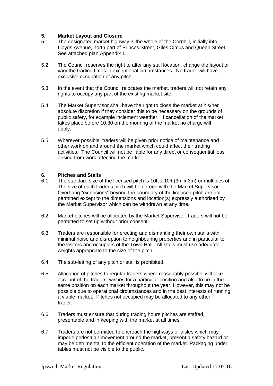#### **5. Market Layout and Closure**

- 5.1 The designated market highway is the whole of the Cornhill, initially into Lloyds Avenue, north part of Princes Street, Giles Circus and Queen Street. See attached plan Appendix 1.
- 5.2 The Council reserves the right to alter any stall location, change the layout or vary the trading times in exceptional circumstances. No trader will have exclusive occupation of any pitch.
- 5.3 In the event that the Council relocates the market, traders will not retain any rights to occupy any part of the existing market site.
- 5.4 The Market Supervisor shall have the right to close the market at his/her absolute discretion if they consider this to be necessary on the grounds of public safety, for example inclement weather. If cancellation of the market takes place before 10.30 on the morning of the market no charge will apply.
- 5.5 Wherever possible, traders will be given prior notice of maintenance and other work on and around the market which could affect their trading activities. The Council will not be liable for any direct or consequential loss arising from work affecting the market.

#### **6. Pitches and Stalls**

- 6.1 The standard size of the licensed pitch is 10ft x 10ft (3m x 3m) or multiples of. The size of each trader's pitch will be agreed with the Market Supervisor. Overhang "extensions" beyond the boundary of the licensed pitch are not permitted except to the dimensions and location(s) expressly authorised by the Market Supervisor which can be withdrawn at any time.
- 6.2 Market pitches will be allocated by the Market Supervisor; traders will not be permitted to set up without prior consent.
- 6.3 Traders are responsible for erecting and dismantling their own stalls with minimal noise and disruption to neighbouring properties and in particular to the visitors and occupiers of the Town Hall. All stalls must use adequate weights appropriate to the size of the pitch.
- 6.4 The sub-letting of any pitch or stall is prohibited.
- 6.5 Allocation of pitches to regular traders where reasonably possible will take account of the traders' wishes for a particular position and also to be in the same position on each market throughout the year. However, this may not be possible due to operational circumstances and in the best interests of running a viable market. Pitches not occupied may be allocated to any other trader.
- 6.6 Traders must ensure that during trading hours pitches are staffed, presentable and in keeping with the market at all times.
- 6.7 Traders are not permitted to encroach the highways or aisles which may impede pedestrian movement around the market, present a safety hazard or may be detrimental to the efficient operation of the market. Packaging under tables must not be visible to the public.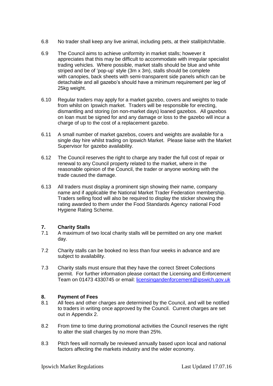- 6.8 No trader shall keep any live animal, including pets, at their stall/pitch/table.
- 6.9 The Council aims to achieve uniformity in market stalls; however it appreciates that this may be difficult to accommodate with irregular specialist trading vehicles. Where possible, market stalls should be blue and white striped and be of 'pop-up' style (3m x 3m), stalls should be complete with canopies, back sheets with semi-transparent side panels which can be detachable and all gazebo's should have a minimum requirement per leg of 25kg weight.
- 6.10 Regular traders may apply for a market gazebo, covers and weights to trade from whilst on Ipswich market. Traders will be responsible for erecting, dismantling and storing (on non-market days) loaned gazebos. All gazebos on loan must be signed for and any damage or loss to the gazebo will incur a charge of up to the cost of a replacement gazebo.
- 6.11 A small number of market gazebos, covers and weights are available for a single day hire whilst trading on Ipswich Market. Please liaise with the Market Supervisor for gazebo availability.
- 6.12 The Council reserves the right to charge any trader the full cost of repair or renewal to any Council property related to the market, where in the reasonable opinion of the Council, the trader or anyone working with the trade caused the damage.
- 6.13 All traders must display a prominent sign showing their name, company name and if applicable the National Market Trader Federation membership. Traders selling food will also be required to display the sticker showing the rating awarded to them under the Food Standards Agency national Food Hygiene Rating Scheme.

#### **7. Charity Stalls**

- 7.1 A maximum of two local charity stalls will be permitted on any one market day.
- 7.2 Charity stalls can be booked no less than four weeks in advance and are subject to availability.
- 7.3 Charity stalls must ensure that they have the correct Street Collections permit. For further information please contact the Licensing and Enforcement Team on 01473 4330745 or email: [licensingandenforcement@ipswich.gov.uk](mailto:licensingandenforcement@ipswich.gov.uk)

#### **8. Payment of Fees**

- 8.1 All fees and other charges are determined by the Council, and will be notified to traders in writing once approved by the Council. Current charges are set out in Appendix 2.
- 8.2 From time to time during promotional activities the Council reserves the right to alter the stall charges by no more than 25%.
- 8.3 Pitch fees will normally be reviewed annually based upon local and national factors affecting the markets industry and the wider economy.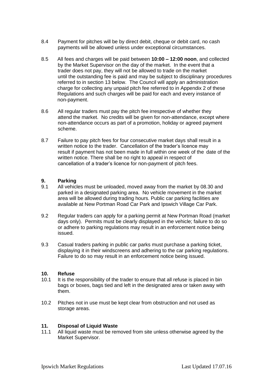- 8.4 Payment for pitches will be by direct debit, cheque or debit card, no cash payments will be allowed unless under exceptional circumstances.
- 8.5 All fees and charges will be paid between **10:00 – 12:00 noon**, and collected by the Market Supervisor on the day of the market. In the event that a trader does not pay, they will not be allowed to trade on the market until the outstanding fee is paid and may be subject to disciplinary procedures referred to in section 13 below. The Council will apply an administration charge for collecting any unpaid pitch fee referred to in Appendix 2 of these Regulations and such charges will be paid for each and every instance of non-payment.
- 8.6 All regular traders must pay the pitch fee irrespective of whether they attend the market. No credits will be given for non-attendance, except where non-attendance occurs as part of a promotion, holiday or agreed payment scheme.
- 8.7 Failure to pay pitch fees for four consecutive market days shall result in a written notice to the trader. Cancellation of the trader's licence may result if payment has not been made in full within one week of the date of the written notice. There shall be no right to appeal in respect of cancellation of a trader's licence for non-payment of pitch fees.

#### **9. Parking**

- 9.1 All vehicles must be unloaded, moved away from the market by 08.30 and parked in a designated parking area. No vehicle movement in the market area will be allowed during trading hours. Public car parking facilities are available at New Portman Road Car Park and Ipswich Village Car Park.
- 9.2 Regular traders can apply for a parking permit at New Portman Road (market days only). Permits must be clearly displayed in the vehicle; failure to do so or adhere to parking regulations may result in an enforcement notice being issued.
- 9.3 Casual traders parking in public car parks must purchase a parking ticket, displaying it in their windscreens and adhering to the car parking regulations. Failure to do so may result in an enforcement notice being issued.

#### **10. Refuse**

- 10.1 It is the responsibility of the trader to ensure that all refuse is placed in bin bags or boxes, bags tied and left in the designated area or taken away with them.
- 10.2 Pitches not in use must be kept clear from obstruction and not used as storage areas.

#### **11. Disposal of Liquid Waste**

11.1 All liquid waste must be removed from site unless otherwise agreed by the Market Supervisor.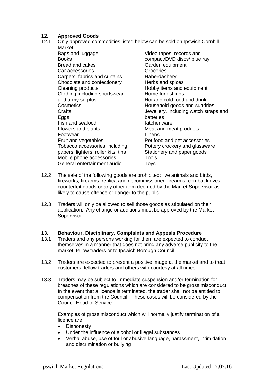#### **12. Approved Goods**

- 12.1 Only approved commodities listed below can be sold on Ipswich Cornhill Market:
	- Bags and luggage **Books** Bread and cakes Car accessories Carpets, fabrics and curtains Chocolate and confectionery Cleaning products Clothing including sportswear and army surplus **Cosmetics Crafts Eggs** Fish and seafood Flowers and plants Footwear Fruit and vegetables Tobacco accessories including papers, lighters, roller kits, tins Mobile phone accessories General entertainment audio Video tapes, records and compact/DVD discs/ blue ray Garden equipment Groceries Haberdashery Herbs and spices Hobby items and equipment Home furnishings Hot and cold food and drink Household goods and sundries Jewellery, including watch straps and batteries Kitchenware Meat and meat products Linens Pet food and pet accessories Pottery crockery and glassware Stationery and paper goods Tools **Toys**
- 12.2 The sale of the following goods are prohibited: live animals and birds, fireworks, firearms, replica and decommissioned firearms, combat knives, counterfeit goods or any other item deemed by the Market Supervisor as likely to cause offence or danger to the public.
- 12.3 Traders will only be allowed to sell those goods as stipulated on their application. Any change or additions must be approved by the Market Supervisor.

## **13. Behaviour, Disciplinary, Complaints and Appeals Procedure**

- Traders and any persons working for them are expected to conduct themselves in a manner that does not bring any adverse publicity to the market, fellow traders or to Ipswich Borough Council.
- 13.2 Traders are expected to present a positive image at the market and to treat customers, fellow traders and others with courtesy at all times.
- 13.3 Traders may be subject to immediate suspension and/or termination for breaches of these regulations which are considered to be gross misconduct. In the event that a licence is terminated, the trader shall not be entitled to compensation from the Council. These cases will be considered by the Council Head of Service.

Examples of gross misconduct which will normally justify termination of a licence are:

- **•** Dishonesty
- Under the influence of alcohol or illegal substances
- Verbal abuse, use of foul or abusive language, harassment, intimidation and discrimination or bullying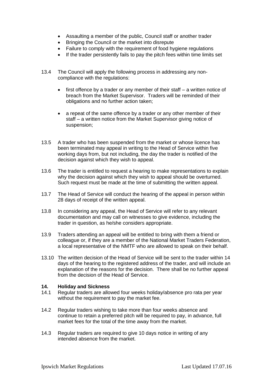- Assaulting a member of the public, Council staff or another trader
- Bringing the Council or the market into disrepute
- Failure to comply with the requirement of food hygiene regulations
- If the trader persistently fails to pay the pitch fees within time limits set
- 13.4 The Council will apply the following process in addressing any noncompliance with the regulations:
	- first offence by a trader or any member of their staff a written notice of breach from the Market Supervisor. Traders will be reminded of their obligations and no further action taken;
	- a repeat of the same offence by a trader or any other member of their staff – a written notice from the Market Supervisor giving notice of suspension;
- 13.5 A trader who has been suspended from the market or whose licence has been terminated may appeal in writing to the Head of Service within five working days from, but not including, the day the trader is notified of the decision against which they wish to appeal.
- 13.6 The trader is entitled to request a hearing to make representations to explain why the decision against which they wish to appeal should be overturned. Such request must be made at the time of submitting the written appeal.
- 13.7 The Head of Service will conduct the hearing of the appeal in person within 28 days of receipt of the written appeal.
- 13.8 In considering any appeal, the Head of Service will refer to any relevant documentation and may call on witnesses to give evidence, including the trader in question, as he/she considers appropriate.
- 13.9 Traders attending an appeal will be entitled to bring with them a friend or colleague or, if they are a member of the National Market Traders Federation, a local representative of the NMTF who are allowed to speak on their behalf.
- 13.10 The written decision of the Head of Service will be sent to the trader within 14 days of the hearing to the registered address of the trader, and will include an explanation of the reasons for the decision. There shall be no further appeal from the decision of the Head of Service.

#### **14. Holiday and Sickness**

- 14.1 Regular traders are allowed four weeks holiday/absence pro rata per year without the requirement to pay the market fee.
- 14.2 Regular traders wishing to take more than four weeks absence and continue to retain a preferred pitch will be required to pay, in advance, full market fees for the total of the time away from the market.
- 14.3 Regular traders are required to give 10 days notice in writing of any intended absence from the market.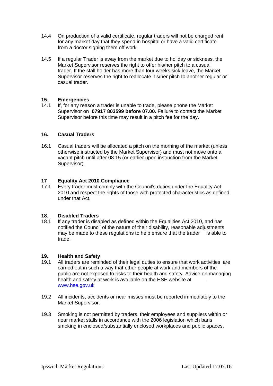- 14.4 On production of a valid certificate, regular traders will not be charged rent for any market day that they spend in hospital or have a valid certificate from a doctor signing them off work.
- 14.5 If a regular Trader is away from the market due to holiday or sickness, the Market Supervisor reserves the right to offer his/her pitch to a casual trader. If the stall holder has more than four weeks sick leave, the Market Supervisor reserves the right to reallocate his/her pitch to another regular or casual trader.

#### **15. Emergencies**

14.1 If, for any reason a trader is unable to trade, please phone the Market Supervisor on **07917 803599 before 07.00.** Failure to contact the Market Supervisor before this time may result in a pitch fee for the day.

#### **16. Casual Traders**

16.1 Casual traders will be allocated a pitch on the morning of the market (unless otherwise instructed by the Market Supervisor) and must not move onto a vacant pitch until after 08.15 (or earlier upon instruction from the Market Supervisor).

#### **17 Equality Act 2010 Compliance**

17.1 Every trader must comply with the Council's duties under the Equality Act 2010 and respect the rights of those with protected characteristics as defined under that Act.

#### **18. Disabled Traders**

18.1 If any trader is disabled as defined within the Equalities Act 2010, and has notified the Council of the nature of their disability, reasonable adjustments may be made to these regulations to help ensure that the trader is able to trade.

#### **19. Health and Safety**

- 19.1 All traders are reminded of their legal duties to ensure that work activities are carried out in such a way that other people at work and members of the public are not exposed to risks to their health and safety. Advice on managing health and safety at work is available on the HSE website at [www.hse.gov.uk](http://www.hse.gov.uk/)
- 19.2 All incidents, accidents or near misses must be reported immediately to the Market Supervisor.
- 19.3 Smoking is not permitted by traders, their employees and suppliers within or near market stalls in accordance with the 2006 legislation which bans smoking in enclosed/substantially enclosed workplaces and public spaces.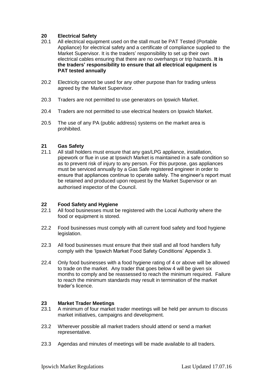#### **20 Electrical Safety**

- 20.1 All electrical equipment used on the stall must be PAT Tested (Portable Appliance) for electrical safety and a certificate of compliance supplied to the Market Supervisor. It is the traders' responsibility to set up their own electrical cables ensuring that there are no overhangs or trip hazards. **It is the traders' responsibility to ensure that all electrical equipment is PAT tested annually**
- 20.2 Electricity cannot be used for any other purpose than for trading unless agreed by the Market Supervisor.
- 20.3 Traders are not permitted to use generators on Ipswich Market.
- 20.4 Traders are not permitted to use electrical heaters on Ipswich Market.
- 20.5 The use of any PA (public address) systems on the market area is prohibited.

#### **21 Gas Safety**

21.1 All stall holders must ensure that any gas/LPG appliance, installation, pipework or flue in use at Ipswich Market is maintained in a safe condition so as to prevent risk of injury to any person. For this purpose, gas appliances must be serviced annually by a Gas Safe registered engineer in order to ensure that appliances continue to operate safely. The engineer's report must be retained and produced upon request by the Market Supervisor or an authorised inspector of the Council.

#### **22 Food Safety and Hygiene**

- 22.1 All food businesses must be registered with the Local Authority where the food or equipment is stored.
- 22.2 Food businesses must comply with all current food safety and food hygiene legislation.
- 22.3 All food businesses must ensure that their stall and all food handlers fully comply with the 'Ipswich Market Food Safety Conditions' Appendix 3.
- 22.4 Only food businesses with a food hygiene rating of 4 or above will be allowed to trade on the market. Any trader that goes below 4 will be given six months to comply and be reassessed to reach the minimum required. Failure to reach the minimum standards may result in termination of the market trader's licence.

#### **23 Market Trader Meetings**

- 23.1 A minimum of four market trader meetings will be held per annum to discuss market initiatives, campaigns and development.
- 23.2 Wherever possible all market traders should attend or send a market representative.
- 23.3 Agendas and minutes of meetings will be made available to all traders.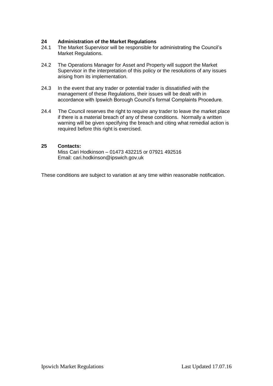## **24 Administration of the Market Regulations**

- The Market Supervisor will be responsible for administrating the Council's Market Regulations.
- 24.2 The Operations Manager for Asset and Property will support the Market Supervisor in the interpretation of this policy or the resolutions of any issues arising from its implementation.
- 24.3 In the event that any trader or potential trader is dissatisfied with the management of these Regulations, their issues will be dealt with in accordance with Ipswich Borough Council's formal Complaints Procedure.
- 24.4 The Council reserves the right to require any trader to leave the market place if there is a material breach of any of these conditions. Normally a written warning will be given specifying the breach and citing what remedial action is required before this right is exercised.

#### **25 Contacts:**

Miss Cari Hodkinson – 01473 432215 or 07921 492516 Email: cari.hodkinson@ipswich.gov.uk

These conditions are subject to variation at any time within reasonable notification.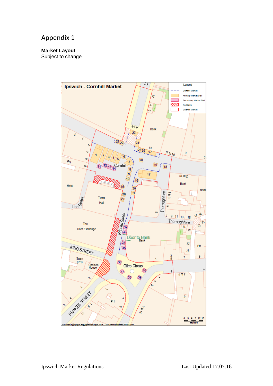## Appendix 1

#### **Market Layout**

Subject to change

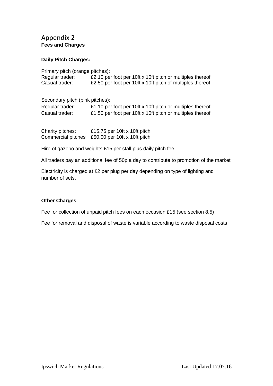#### Appendix 2 **Fees and Charges**

#### **Daily Pitch Charges:**

| Primary pitch (orange pitches):               |                                                              |
|-----------------------------------------------|--------------------------------------------------------------|
| Regular trader:                               | £2.10 per foot per 10ft x 10ft pitch or multiples thereof    |
| Casual trader:                                | £2.50 per foot per 10ft x 10ft pitch of multiples thereof    |
| Secondary pitch (pink pitches):               |                                                              |
| Regular trader:                               | £1.10 per foot per 10ft x 10ft pitch or multiples thereof    |
| Casual trader:                                | £1.50 per foot per 10ft x 10ft pitch or multiples thereof    |
| Charity pitches:<br><b>Commercial pitches</b> | £15.75 per 10ft x 10ft pitch<br>£50.00 per 10ft x 10ft pitch |

Hire of gazebo and weights £15 per stall plus daily pitch fee

All traders pay an additional fee of 50p a day to contribute to promotion of the market

Electricity is charged at £2 per plug per day depending on type of lighting and number of sets.

#### **Other Charges**

Fee for collection of unpaid pitch fees on each occasion £15 (see section 8.5)

Fee for removal and disposal of waste is variable according to waste disposal costs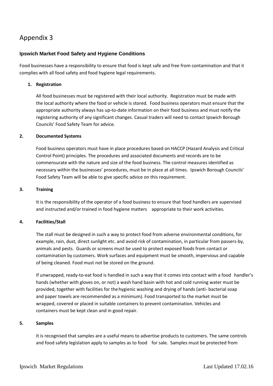### Appendix 3

#### **Ipswich Market Food Safety and Hygiene Conditions**

Food businesses have a responsibility to ensure that food is kept safe and free from contamination and that it complies with all food safety and food hygiene legal requirements.

#### **1. Registration**

All food businesses must be registered with their local authority. Registration must be made with the local authority where the food or vehicle is stored. Food business operators must ensure that the appropriate authority always has up-to-date information on their food business and must notify the registering authority of any significant changes. Casual traders will need to contact Ipswich Borough Councils' Food Safety Team for advice.

#### **2. Documented Systems**

Food business operators must have in place procedures based on HACCP (Hazard Analysis and Critical Control Point) principles. The procedures and associated documents and records are to be commensurate with the nature and size of the food business. The control measures identified as necessary within the businesses' procedures, must be in place at all times. Ipswich Borough Councils' Food Safety Team will be able to give specific advice on this requirement.

#### **3. Training**

It is the responsibility of the operator of a food business to ensure that food handlers are supervised and instructed and/or trained in food hygiene matters appropriate to their work activities.

#### **4. Facilities/Stall**

The stall must be designed in such a way to protect food from adverse environmental conditions, for example, rain, dust, direct sunlight etc. and avoid risk of contamination, in particular from passers-by, animals and pests. Guards or screens must be used to protect exposed foods from contact or contamination by customers. Work surfaces and equipment must be smooth, impervious and capable of being cleaned. Food must not be stored on the ground.

If unwrapped, ready-to-eat food is handled in such a way that it comes into contact with a food handler's hands (whether with gloves on, or not) a wash hand basin with hot and cold running water must be provided, together with facilities for thehygienic washing and drying of hands (anti- bacterial soap and paper towels are recommended as a minimum). Food transported to the market must be wrapped, covered or placed in suitable containers to prevent contamination. Vehicles and containers must be kept clean and in good repair.

#### **5. Samples**

It is recognised that samples are a useful means to advertise products to customers. The same controls and food safety legislation apply to samples as to food for sale. Samples must be protected from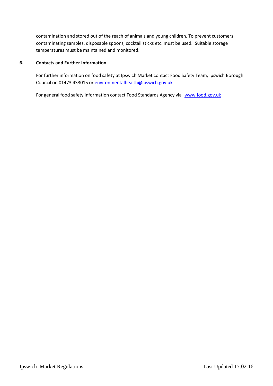contamination and stored out of the reach of animals and young children. To prevent customers contaminating samples, disposable spoons, cocktail sticks etc. must be used. Suitable storage temperatures must be maintained and monitored.

#### **6. Contacts and Further Information**

For further information on food safety at Ipswich Market contact Food Safety Team, Ipswich Borough Council on 01473 433015 o[r environmentalhealth@ipswich.gov.uk](mailto:environmentalhealth@ipswich.gov.uk)

For general food safety information contact Food Standards Agency via [www.food.gov.uk](http://www.food.gov.uk/)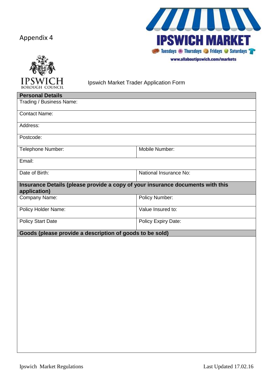## Appendix 4



Ш I, **IPSWICH MARKET Example 20** Tuesdays *in Thursdays* **Control For Pridays Control For Pridays** www.allaboutipswich.com/markets

Ipswich Market Trader Application Form

| <b>Personal Details</b>                                                                        |                        |  |
|------------------------------------------------------------------------------------------------|------------------------|--|
| Trading / Business Name:                                                                       |                        |  |
| <b>Contact Name:</b>                                                                           |                        |  |
| Address:                                                                                       |                        |  |
| Postcode:                                                                                      |                        |  |
| Telephone Number:                                                                              | Mobile Number:         |  |
| Email:                                                                                         |                        |  |
| Date of Birth:                                                                                 | National Insurance No: |  |
| Insurance Details (please provide a copy of your insurance documents with this<br>application) |                        |  |
| Company Name:                                                                                  | <b>Policy Number:</b>  |  |
| <b>Policy Holder Name:</b>                                                                     | Value Insured to:      |  |
| <b>Policy Start Date</b>                                                                       | Policy Expiry Date:    |  |
| Goods (please provide a description of goods to be sold)                                       |                        |  |
|                                                                                                |                        |  |
|                                                                                                |                        |  |
|                                                                                                |                        |  |
|                                                                                                |                        |  |
|                                                                                                |                        |  |
|                                                                                                |                        |  |
|                                                                                                |                        |  |
|                                                                                                |                        |  |
|                                                                                                |                        |  |